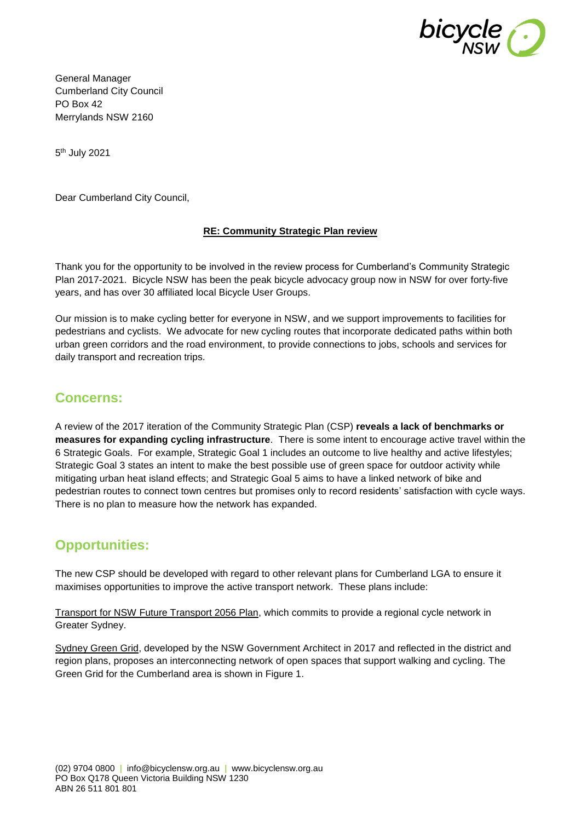

General Manager Cumberland City Council PO Box 42 Merrylands NSW 2160

5<sup>th</sup> July 2021

Dear Cumberland City Council,

### **RE: Community Strategic Plan review**

Thank you for the opportunity to be involved in the review process for Cumberland's Community Strategic Plan 2017-2021. Bicycle NSW has been the peak bicycle advocacy group now in NSW for over forty-five years, and has over 30 affiliated local Bicycle User Groups.

Our mission is to make cycling better for everyone in NSW, and we support improvements to facilities for pedestrians and cyclists. We advocate for new cycling routes that incorporate dedicated paths within both urban green corridors and the road environment, to provide connections to jobs, schools and services for daily transport and recreation trips.

## **Concerns:**

A review of the 2017 iteration of the Community Strategic Plan (CSP) **reveals a lack of benchmarks or measures for expanding cycling infrastructure**. There is some intent to encourage active travel within the 6 Strategic Goals. For example, Strategic Goal 1 includes an outcome to live healthy and active lifestyles; Strategic Goal 3 states an intent to make the best possible use of green space for outdoor activity while mitigating urban heat island effects; and Strategic Goal 5 aims to have a linked network of bike and pedestrian routes to connect town centres but promises only to record residents' satisfaction with cycle ways. There is no plan to measure how the network has expanded.

## **Opportunities:**

The new CSP should be developed with regard to other relevant plans for Cumberland LGA to ensure it maximises opportunities to improve the active transport network. These plans include:

Transport for NSW Future Transport 2056 Plan, which commits to provide a regional cycle network in Greater Sydney.

Sydney Green Grid, developed by the NSW Government Architect in 2017 and reflected in the district and region plans, proposes an interconnecting network of open spaces that support walking and cycling. The Green Grid for the Cumberland area is shown in Figure 1.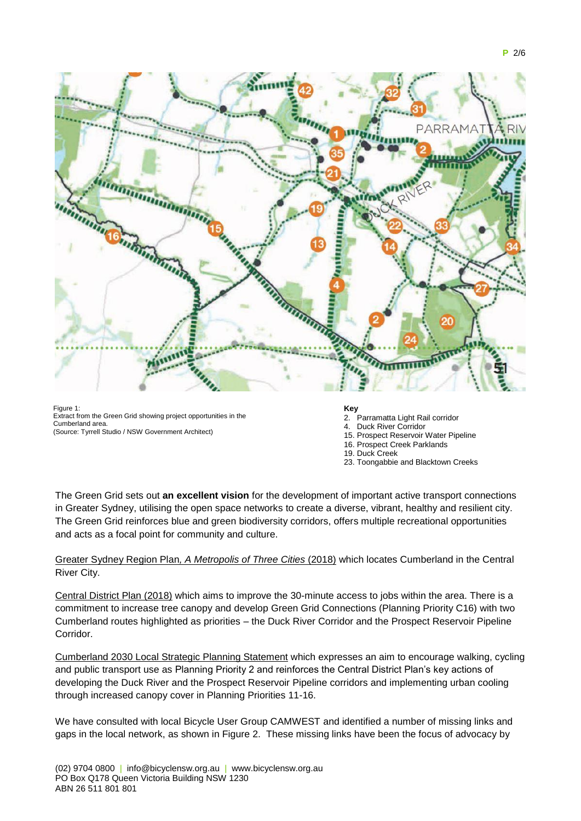

Figure 1 Extract from the Green Grid showing project opportunities in the Cumberland area. (Source: Tyrrell Studio / NSW Government Architect)

### **Key**

- 2. Parramatta Light Rail corridor
- Duck River Corridor
- 15. Prospect Reservoir Water Pipeline
- 16. Prospect Creek Parklands
- 19. Duck Creek
- 23. Toongabbie and Blacktown Creeks

The Green Grid sets out **an excellent vision** for the development of important active transport connections in Greater Sydney, utilising the open space networks to create a diverse, vibrant, healthy and resilient city. The Green Grid reinforces blue and green biodiversity corridors, offers multiple recreational opportunities and acts as a focal point for community and culture.

### Greater Sydney Region Plan*, A Metropolis of Three Cities* (2018) which locates Cumberland in the Central River City.

Central District Plan (2018) which aims to improve the 30-minute access to jobs within the area. There is a commitment to increase tree canopy and develop Green Grid Connections (Planning Priority C16) with two Cumberland routes highlighted as priorities – the Duck River Corridor and the Prospect Reservoir Pipeline Corridor.

Cumberland 2030 Local Strategic Planning Statement which expresses an aim to encourage walking, cycling and public transport use as Planning Priority 2 and reinforces the Central District Plan's key actions of developing the Duck River and the Prospect Reservoir Pipeline corridors and implementing urban cooling through increased canopy cover in Planning Priorities 11-16.

We have consulted with local Bicycle User Group CAMWEST and identified a number of missing links and gaps in the local network, as shown in Figure 2. These missing links have been the focus of advocacy by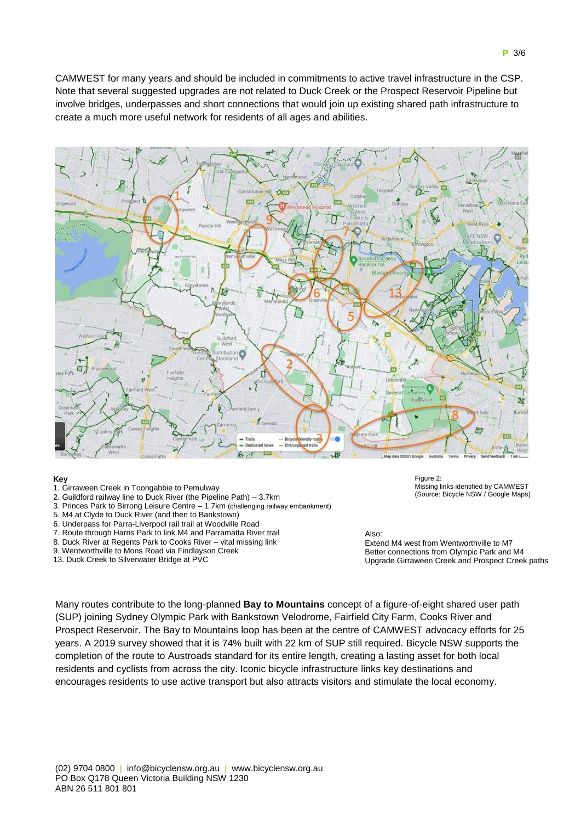CAMWEST for many years and should be included in commitments to active travel infrastructure in the CSP. Note that several suggested upgrades are not related to Duck Creek or the Prospect Reservoir Pipeline but involve bridges, underpasses and short connections that would join up existing shared path infrastructure to create a much more useful network for residents of all ages and abilities.



#### **Key**

- 1. Girraween Creek in Toongabbie to Pemulway
- 2. Guildford railway line to Duck River (the Pipeline Path) 3.7km
- 3. Princes Park to Birrong Leisure Centre 1.7km (challenging railway embankment)
- 5. M4 at Clyde to Duck River (and then to Bankstown)
- 6. Underpass for Parra-Liverpool rail trail at Woodville Road
- 7. Route through Harris Park to link M4 and Parramatta River trail
- 8. Duck River at Regents Park to Cooks River vital missing link
- 9. Wentworthville to Mons Road via Findlayson Creek
- 13. Duck Creek to Silverwater Bridge at PVC

Figure 2: Missing links identified by CAMWEST (Source: Bicycle NSW / Google Maps)

#### Also:

Extend M4 west from Wentworthville to M7 Better connections from Olympic Park and M4 Upgrade Girraween Creek and Prospect Creek paths

Many routes contribute to the long-planned **Bay to Mountains** concept of a figure-of-eight shared user path (SUP) joining Sydney Olympic Park with Bankstown Velodrome, Fairfield City Farm, Cooks River and Prospect Reservoir. The Bay to Mountains loop has been at the centre of CAMWEST advocacy efforts for 25 years. A 2019 survey showed that it is 74% built with 22 km of SUP still required. Bicycle NSW supports the completion of the route to Austroads standard for its entire length, creating a lasting asset for both local residents and cyclists from across the city. Iconic bicycle infrastructure links key destinations and encourages residents to use active transport but also attracts visitors and stimulate the local economy.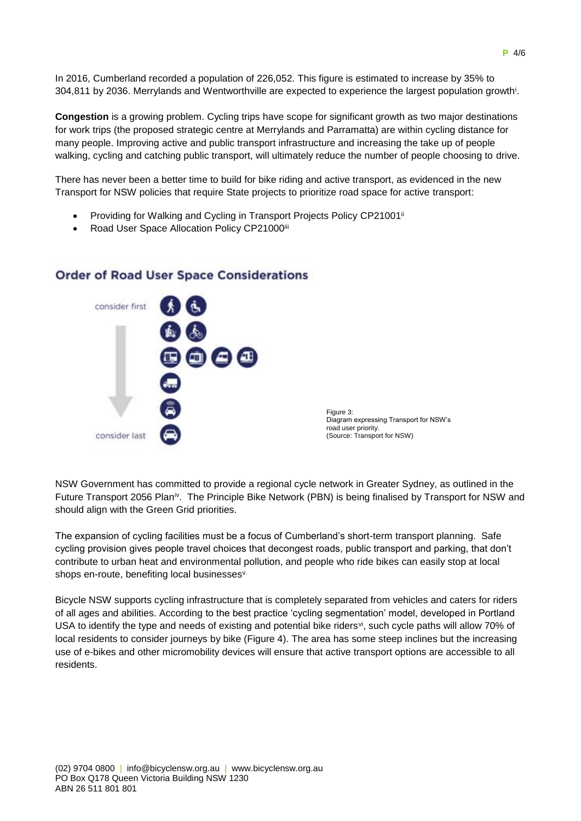In 2016, Cumberland recorded a population of 226,052. This figure is estimated to increase by 35% to 304,811 by 2036. Merrylands and Wentworthville are expected to experience the largest population growth<sup>i</sup> .

**Congestion** is a growing problem. Cycling trips have scope for significant growth as two major destinations for work trips (the proposed strategic centre at Merrylands and Parramatta) are within cycling distance for many people. Improving active and public transport infrastructure and increasing the take up of people walking, cycling and catching public transport, will ultimately reduce the number of people choosing to drive.

There has never been a better time to build for bike riding and active transport, as evidenced in the new Transport for NSW policies that require State projects to prioritize road space for active transport:

- Providing for Walking and Cycling in Transport Projects Policy CP21001ii
- Road User Space Allocation Policy CP21000iii



## **Order of Road User Space Considerations**

NSW Government has committed to provide a regional cycle network in Greater Sydney, as outlined in the Future Transport 2056 Planiv. The Principle Bike Network (PBN) is being finalised by Transport for NSW and should align with the Green Grid priorities.

The expansion of cycling facilities must be a focus of Cumberland's short-term transport planning. Safe cycling provision gives people travel choices that decongest roads, public transport and parking, that don't contribute to urban heat and environmental pollution, and people who ride bikes can easily stop at local shops en-route, benefiting local businesses<sup>v.</sup>

Bicycle NSW supports cycling infrastructure that is completely separated from vehicles and caters for riders of all ages and abilities. According to the best practice 'cycling segmentation' model, developed in Portland USA to identify the type and needs of existing and potential bike riders<sup>yi</sup>, such cycle paths will allow 70% of local residents to consider journeys by bike (Figure 4). The area has some steep inclines but the increasing use of e-bikes and other micromobility devices will ensure that active transport options are accessible to all residents.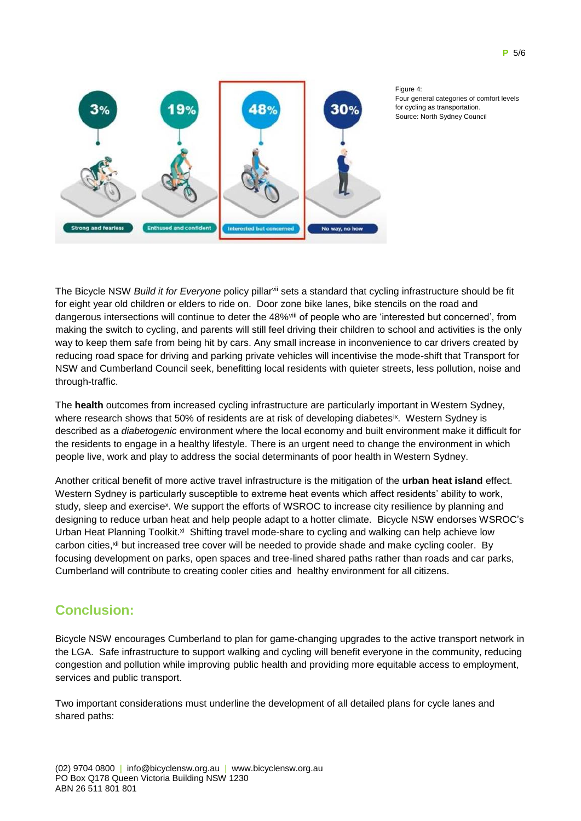



Figure 4: Four general categories of comfort levels for cycling as transportation. Source: North Sydney Council

The Bicycle NSW *Build it for Everyone* policy pillarvii sets a standard that cycling infrastructure should be fit for eight year old children or elders to ride on. Door zone bike lanes, bike stencils on the road and dangerous intersections will continue to deter the 48%viii of people who are 'interested but concerned', from making the switch to cycling, and parents will still feel driving their children to school and activities is the only way to keep them safe from being hit by cars. Any small increase in inconvenience to car drivers created by reducing road space for driving and parking private vehicles will incentivise the mode-shift that Transport for NSW and Cumberland Council seek, benefitting local residents with quieter streets, less pollution, noise and through-traffic.

The **health** outcomes from increased cycling infrastructure are particularly important in Western Sydney, where research shows that 50% of residents are at risk of developing diabetes<sup>ix</sup>. Western Sydney is described as a *diabetogenic* environment where the local economy and built environment make it difficult for the residents to engage in a healthy lifestyle. There is an urgent need to change the environment in which people live, work and play to address the social determinants of poor health in Western Sydney.

Another critical benefit of more active travel infrastructure is the mitigation of the **urban heat island** effect. Western Sydney is particularly susceptible to extreme heat events which affect residents' ability to work, study, sleep and exercise<sup>x</sup>. We support the efforts of WSROC to increase city resilience by planning and designing to reduce urban heat and help people adapt to a hotter climate. Bicycle NSW endorses WSROC's Urban Heat Planning Toolkit.<sup>xi</sup> Shifting travel mode-share to cycling and walking can help achieve low carbon cities,<sup>xii</sup> but increased tree cover will be needed to provide shade and make cycling cooler. By focusing development on parks, open spaces and tree-lined shared paths rather than roads and car parks, Cumberland will contribute to creating cooler cities and healthy environment for all citizens.

# **Conclusion:**

Bicycle NSW encourages Cumberland to plan for game-changing upgrades to the active transport network in the LGA. Safe infrastructure to support walking and cycling will benefit everyone in the community, reducing congestion and pollution while improving public health and providing more equitable access to employment, services and public transport.

Two important considerations must underline the development of all detailed plans for cycle lanes and shared paths: